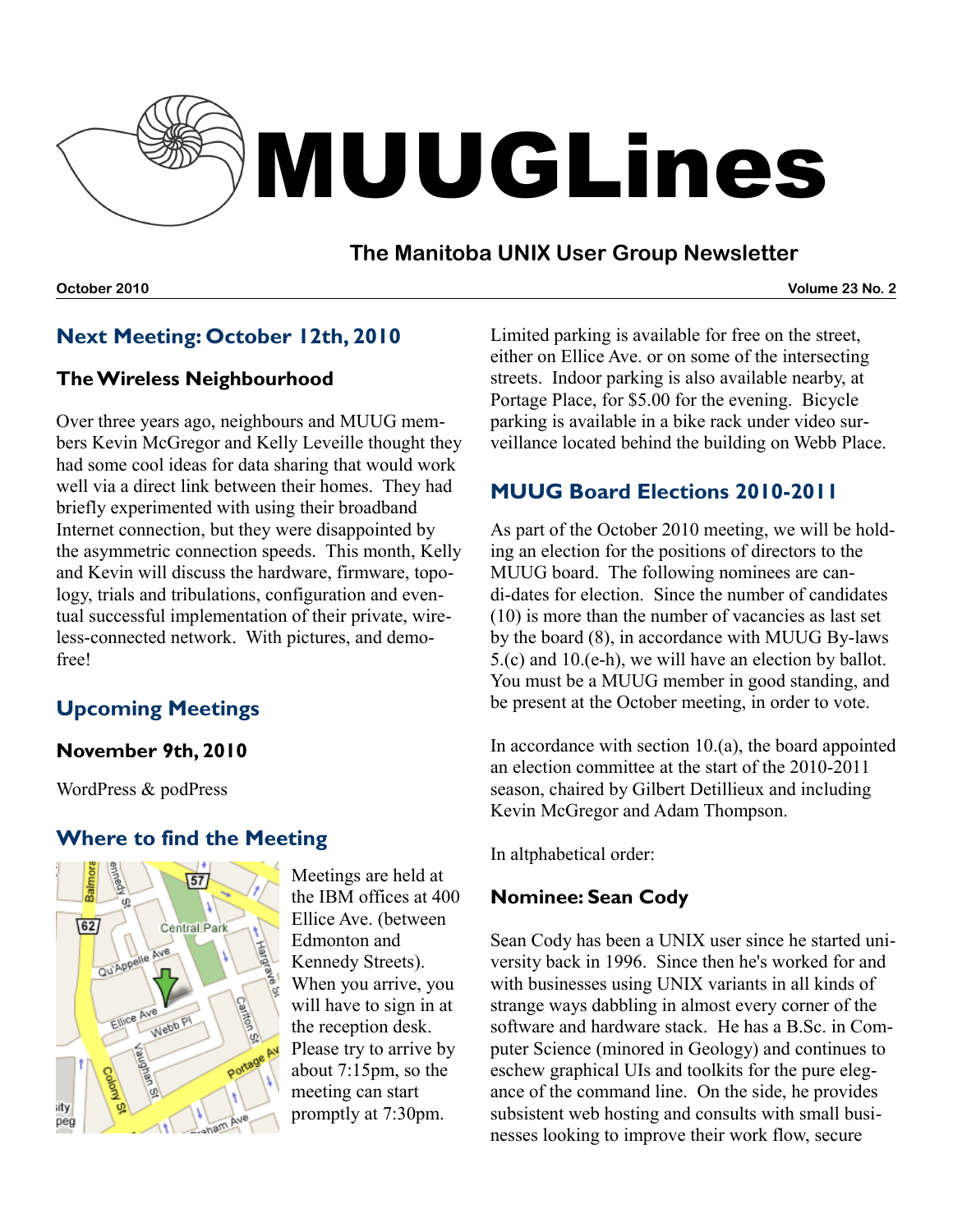

## **The Manitoba UNIX User Group Newsletter**

**October 2010 Volume 23 No. 2**

## **Next Meeting: October 12th, 2010**

#### **The Wireless Neighbourhood**

Over three years ago, neighbours and MUUG members Kevin McGregor and Kelly Leveille thought they had some cool ideas for data sharing that would work well via a direct link between their homes. They had briefly experimented with using their broadband Internet connection, but they were disappointed by the asymmetric connection speeds. This month, Kelly and Kevin will discuss the hardware, firmware, topology, trials and tribulations, configuration and eventual successful implementation of their private, wireless-connected network. With pictures, and demofree!

# **Upcoming Meetings**

#### **November 9th, 2010**

WordPress & podPress

#### **Where to find the Meeting**



Meetings are held at the IBM offices at 400 Ellice Ave. (between Edmonton and Kennedy Streets). When you arrive, you will have to sign in at the reception desk. Please try to arrive by about 7:15pm, so the meeting can start promptly at 7:30pm.

Limited parking is available for free on the street, either on Ellice Ave. or on some of the intersecting streets. Indoor parking is also available nearby, at Portage Place, for \$5.00 for the evening. Bicycle parking is available in a bike rack under video surveillance located behind the building on Webb Place.

## **MUUG Board Elections 2010-2011**

As part of the October 2010 meeting, we will be holding an election for the positions of directors to the MUUG board. The following nominees are candi-dates for election. Since the number of candidates (10) is more than the number of vacancies as last set by the board (8), in accordance with MUUG By-laws 5.(c) and 10.(e-h), we will have an election by ballot. You must be a MUUG member in good standing, and be present at the October meeting, in order to vote.

In accordance with section  $10.(a)$ , the board appointed an election committee at the start of the 2010-2011 season, chaired by Gilbert Detillieux and including Kevin McGregor and Adam Thompson.

In altphabetical order:

#### **Nominee: Sean Cody**

Sean Cody has been a UNIX user since he started university back in 1996. Since then he's worked for and with businesses using UNIX variants in all kinds of strange ways dabbling in almost every corner of the software and hardware stack. He has a B.Sc. in Computer Science (minored in Geology) and continues to eschew graphical UIs and toolkits for the pure elegance of the command line. On the side, he provides subsistent web hosting and consults with small businesses looking to improve their work flow, secure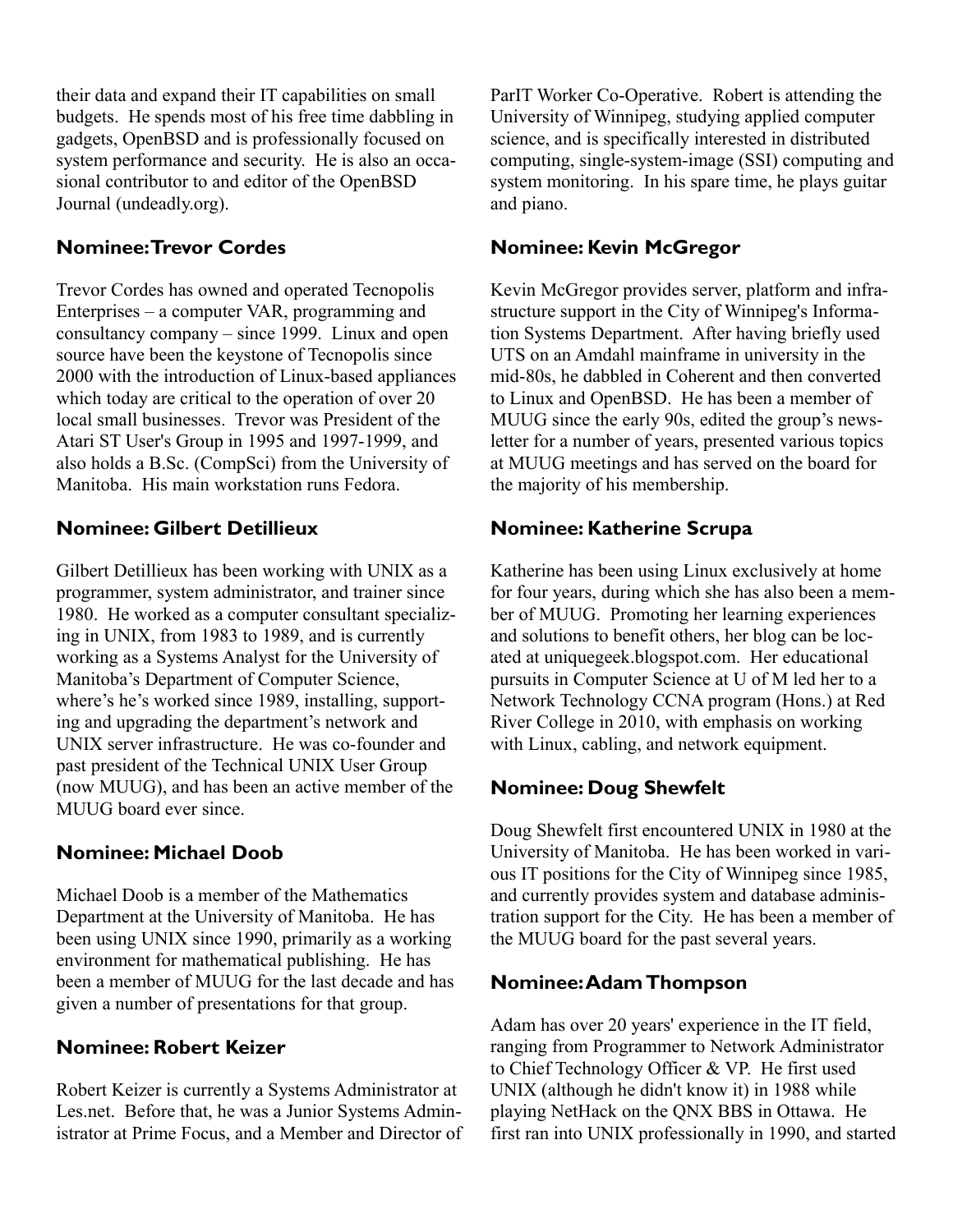their data and expand their IT capabilities on small budgets. He spends most of his free time dabbling in gadgets, OpenBSD and is professionally focused on system performance and security. He is also an occasional contributor to and editor of the OpenBSD Journal (undeadly.org).

#### **Nominee: Trevor Cordes**

Trevor Cordes has owned and operated Tecnopolis Enterprises – a computer VAR, programming and consultancy company – since 1999. Linux and open source have been the keystone of Tecnopolis since 2000 with the introduction of Linux-based appliances which today are critical to the operation of over 20 local small businesses. Trevor was President of the Atari ST User's Group in 1995 and 1997-1999, and also holds a B.Sc. (CompSci) from the University of Manitoba. His main workstation runs Fedora.

#### **Nominee: Gilbert Detillieux**

Gilbert Detillieux has been working with UNIX as a programmer, system administrator, and trainer since 1980. He worked as a computer consultant specializing in UNIX, from 1983 to 1989, and is currently working as a Systems Analyst for the University of Manitoba's Department of Computer Science, where's he's worked since 1989, installing, supporting and upgrading the department's network and UNIX server infrastructure. He was co-founder and past president of the Technical UNIX User Group (now MUUG), and has been an active member of the MUUG board ever since.

#### **Nominee: Michael Doob**

Michael Doob is a member of the Mathematics Department at the University of Manitoba. He has been using UNIX since 1990, primarily as a working environment for mathematical publishing. He has been a member of MUUG for the last decade and has given a number of presentations for that group.

#### **Nominee: Robert Keizer**

Robert Keizer is currently a Systems Administrator at Les.net. Before that, he was a Junior Systems Administrator at Prime Focus, and a Member and Director of ParIT Worker Co-Operative. Robert is attending the University of Winnipeg, studying applied computer science, and is specifically interested in distributed computing, single-system-image (SSI) computing and system monitoring. In his spare time, he plays guitar and piano.

#### **Nominee: Kevin McGregor**

Kevin McGregor provides server, platform and infrastructure support in the City of Winnipeg's Information Systems Department. After having briefly used UTS on an Amdahl mainframe in university in the mid-80s, he dabbled in Coherent and then converted to Linux and OpenBSD. He has been a member of MUUG since the early 90s, edited the group's newsletter for a number of years, presented various topics at MUUG meetings and has served on the board for the majority of his membership.

#### **Nominee: Katherine Scrupa**

Katherine has been using Linux exclusively at home for four years, during which she has also been a member of MUUG. Promoting her learning experiences and solutions to benefit others, her blog can be located at uniquegeek.blogspot.com. Her educational pursuits in Computer Science at U of M led her to a Network Technology CCNA program (Hons.) at Red River College in 2010, with emphasis on working with Linux, cabling, and network equipment.

#### **Nominee: Doug Shewfelt**

Doug Shewfelt first encountered UNIX in 1980 at the University of Manitoba. He has been worked in various IT positions for the City of Winnipeg since 1985, and currently provides system and database administration support for the City. He has been a member of the MUUG board for the past several years.

#### **Nominee: Adam Thompson**

Adam has over 20 years' experience in the IT field, ranging from Programmer to Network Administrator to Chief Technology Officer & VP. He first used UNIX (although he didn't know it) in 1988 while playing NetHack on the QNX BBS in Ottawa. He first ran into UNIX professionally in 1990, and started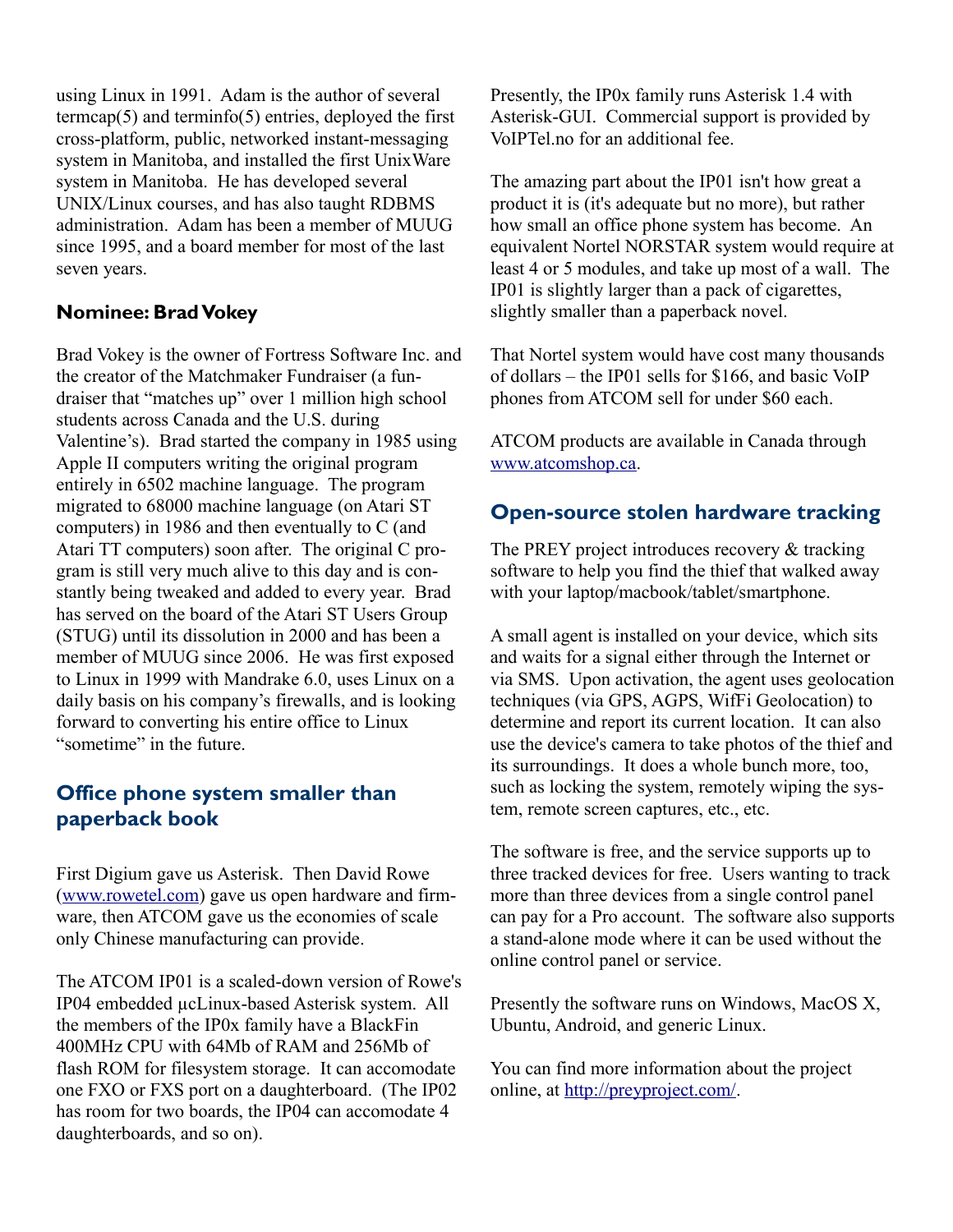using Linux in 1991. Adam is the author of several termcap $(5)$  and terminfo $(5)$  entries, deployed the first cross-platform, public, networked instant-messaging system in Manitoba, and installed the first UnixWare system in Manitoba. He has developed several UNIX/Linux courses, and has also taught RDBMS administration. Adam has been a member of MUUG since 1995, and a board member for most of the last seven years.

#### **Nominee: Brad Vokey**

Brad Vokey is the owner of Fortress Software Inc. and the creator of the Matchmaker Fundraiser (a fundraiser that "matches up" over 1 million high school students across Canada and the U.S. during Valentine's). Brad started the company in 1985 using Apple II computers writing the original program entirely in 6502 machine language. The program migrated to 68000 machine language (on Atari ST computers) in 1986 and then eventually to C (and Atari TT computers) soon after. The original C program is still very much alive to this day and is constantly being tweaked and added to every year. Brad has served on the board of the Atari ST Users Group (STUG) until its dissolution in 2000 and has been a member of MUUG since 2006. He was first exposed to Linux in 1999 with Mandrake 6.0, uses Linux on a daily basis on his company's firewalls, and is looking forward to converting his entire office to Linux "sometime" in the future.

## **Office phone system smaller than paperback book**

First Digium gave us Asterisk. Then David Rowe [\(www.rowetel.com\)](http://www.rowetel.com/) gave us open hardware and firmware, then ATCOM gave us the economies of scale only Chinese manufacturing can provide.

The ATCOM IP01 is a scaled-down version of Rowe's IP04 embedded µcLinux-based Asterisk system. All the members of the IP0x family have a BlackFin 400MHz CPU with 64Mb of RAM and 256Mb of flash ROM for filesystem storage. It can accomodate one FXO or FXS port on a daughterboard. (The IP02 has room for two boards, the IP04 can accomodate 4 daughterboards, and so on).

Presently, the IP0x family runs Asterisk 1.4 with Asterisk-GUI. Commercial support is provided by VoIPTel.no for an additional fee.

The amazing part about the IP01 isn't how great a product it is (it's adequate but no more), but rather how small an office phone system has become. An equivalent Nortel NORSTAR system would require at least 4 or 5 modules, and take up most of a wall. The IP01 is slightly larger than a pack of cigarettes, slightly smaller than a paperback novel.

That Nortel system would have cost many thousands of dollars – the IP01 sells for \$166, and basic VoIP phones from ATCOM sell for under \$60 each.

ATCOM products are available in Canada through [www.atcomshop.ca.](http://www.atcomshop.ca/)

#### **Open-source stolen hardware tracking**

The PREY project introduces recovery & tracking software to help you find the thief that walked away with your laptop/macbook/tablet/smartphone.

A small agent is installed on your device, which sits and waits for a signal either through the Internet or via SMS. Upon activation, the agent uses geolocation techniques (via GPS, AGPS, WifFi Geolocation) to determine and report its current location. It can also use the device's camera to take photos of the thief and its surroundings. It does a whole bunch more, too, such as locking the system, remotely wiping the system, remote screen captures, etc., etc.

The software is free, and the service supports up to three tracked devices for free. Users wanting to track more than three devices from a single control panel can pay for a Pro account. The software also supports a stand-alone mode where it can be used without the online control panel or service.

Presently the software runs on Windows, MacOS X, Ubuntu, Android, and generic Linux.

You can find more information about the project online, at [http://preyproject.com/.](http://preyproject.com/)